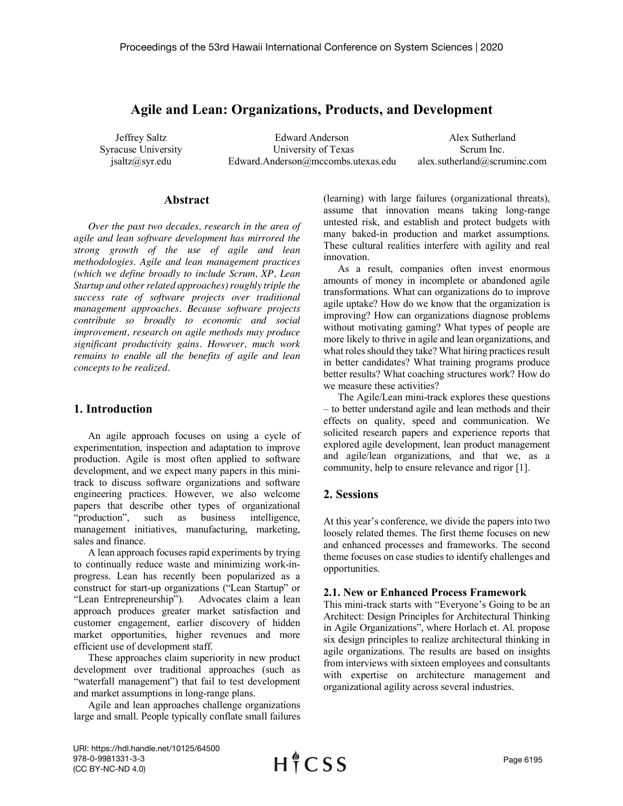# **Agile and Lean: Organizations, Products, and Development**

Jeffrey Saltz Syracuse University jsaltz@syr.edu

Edward Anderson University of Texas Edward.Anderson@mccombs.utexas.edu

Alex Sutherland Scrum Inc. alex.sutherland@scruminc.com

### **Abstract**

*Over the past two decades, research in the area of agile and lean software development has mirrored the strong growth of the use of agile and lean methodologies. Agile and lean management practices (which we define broadly to include Scrum, XP, Lean Startup and other related approaches) roughly triple the success rate of software projects over traditional management approaches. Because software projects contribute so broadly to economic and social improvement, research on agile methods may produce significant productivity gains. However, much work remains to enable all the benefits of agile and lean concepts to be realized.*

## **1. Introduction**

An agile approach focuses on using a cycle of experimentation, inspection and adaptation to improve production. Agile is most often applied to software development, and we expect many papers in this minitrack to discuss software organizations and software engineering practices. However, we also welcome papers that describe other types of organizational "production", such as business intelligence, management initiatives, manufacturing, marketing, sales and finance.

A lean approach focuses rapid experiments by trying to continually reduce waste and minimizing work-inprogress. Lean has recently been popularized as a construct for start-up organizations ("Lean Startup" or "Lean Entrepreneurship"). Advocates claim a lean approach produces greater market satisfaction and customer engagement, earlier discovery of hidden market opportunities, higher revenues and more efficient use of development staff.

These approaches claim superiority in new product development over traditional approaches (such as "waterfall management") that fail to test development and market assumptions in long-range plans.

Agile and lean approaches challenge organizations large and small. People typically conflate small failures

(learning) with large failures (organizational threats), assume that innovation means taking long-range untested risk, and establish and protect budgets with many baked-in production and market assumptions. These cultural realities interfere with agility and real innovation.

As a result, companies often invest enormous amounts of money in incomplete or abandoned agile transformations. What can organizations do to improve agile uptake? How do we know that the organization is improving? How can organizations diagnose problems without motivating gaming? What types of people are more likely to thrive in agile and lean organizations, and what roles should they take? What hiring practices result in better candidates? What training programs produce better results? What coaching structures work? How do we measure these activities?

The Agile/Lean mini-track explores these questions – to better understand agile and lean methods and their effects on quality, speed and communication. We solicited research papers and experience reports that explored agile development, lean product management and agile/lean organizations, and that we, as a community, help to ensure relevance and rigor [1].

## **2. Sessions**

At this year's conference, we divide the papers into two loosely related themes. The first theme focuses on new and enhanced processes and frameworks. The second theme focuses on case studies to identify challenges and opportunities.

#### **2.1. New or Enhanced Process Framework**

This mini-track starts with "Everyone's Going to be an Architect: Design Principles for Architectural Thinking in Agile Organizations", where Horlach et. Al. propose six design principles to realize architectural thinking in agile organizations. The results are based on insights from interviews with sixteen employees and consultants with expertise on architecture management and organizational agility across several industries.

URI: https://hdl.handle.net/10125/64500 978-0-9981331-3-3 (CC BY-NC-ND 4.0)